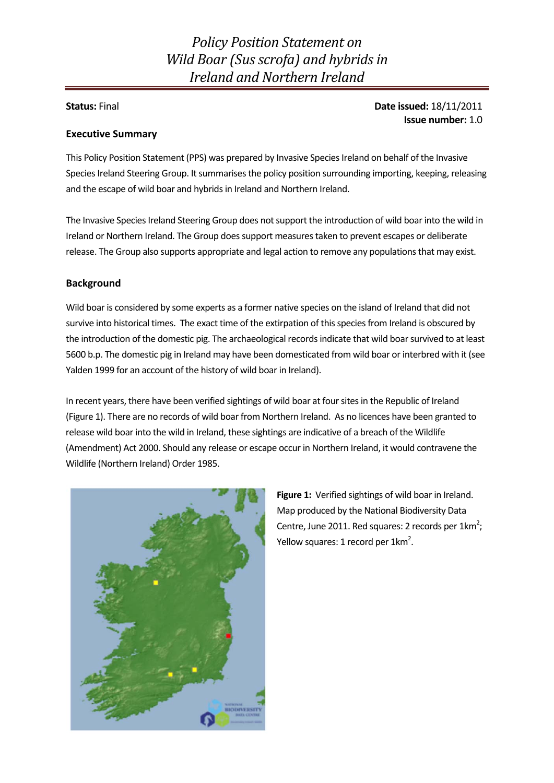# *Policy Position Statement on Wild Boar (Susscrofa) and hybrids in Ireland and Northern Ireland*

### **Status:** Final **Date issued:** 18/11/2011 **Issue number:** 1.0

#### **Executive Summary**

This Policy Position Statement (PPS) was prepared by Invasive Species Ireland on behalf of the Invasive Species Ireland Steering Group. It summarises the policy position surrounding importing, keeping, releasing and the escape of wild boar and hybrids in Ireland and Northern Ireland.

The Invasive Species Ireland Steering Group does not support the introduction of wild boar into the wild in Ireland or Northern Ireland. The Group doessupport measurestaken to prevent escapes or deliberate release. The Group also supports appropriate and legal action to remove any populations that may exist.

#### **Background**

Wild boar is considered by some experts as a former native species on the island of Ireland that did not survive into historical times. The exact time of the extirpation of this species from Ireland is obscured by the introduction of the domestic pig. The archaeological recordsindicate that wild boarsurvived to at least 5600 b.p. The domestic pig in Ireland may have been domesticated from wild boar or interbred with it (see Yalden 1999 for an account of the history of wild boar in Ireland).

In recent years, there have been verified sightings of wild boar at foursitesin the Republic of Ireland (Figure 1). There are no records of wild boar from Northern Ireland. As no licences have been granted to release wild boar into the wild in Ireland, these sightings are indicative of a breach of the Wildlife (Amendment) Act 2000. Should any release or escape occur in Northern Ireland, it would contravene the Wildlife (Northern Ireland) Order 1985.



**Figure 1:** Verified sightings of wild boar in Ireland. Map produced by the National Biodiversity Data Centre, June 2011. Red squares: 2 records per  $1 \text{km}^2$ ; Yellow squares: 1 record per 1km<sup>2</sup>.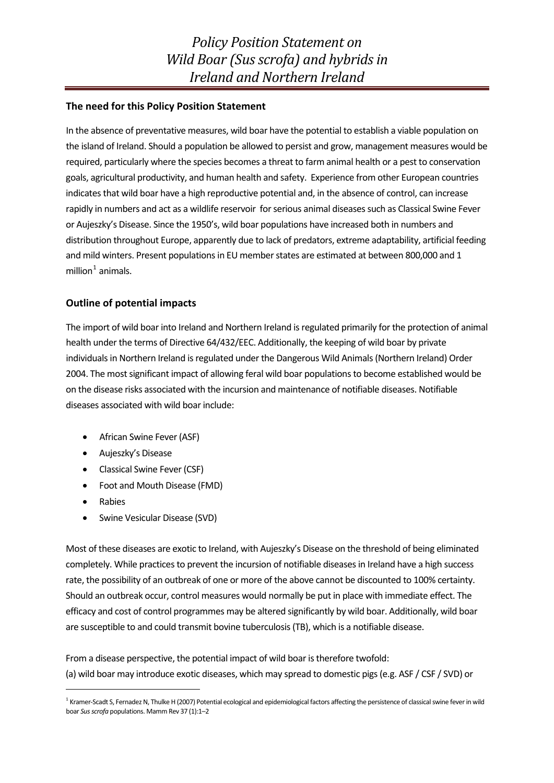#### **The need for this Policy Position Statement**

In the absence of preventative measures, wild boar have the potential to establish a viable population on the island of Ireland. Should a population be allowed to persist and grow, management measures would be required, particularly where the species becomes a threat to farm animal health or a pest to conservation goals, agricultural productivity, and human health and safety. Experience from other European countries indicatesthat wild boar have a high reproductive potential and, in the absence of control, can increase rapidly in numbers and act as a wildlife reservoir for serious animal diseases such as Classical Swine Fever or Aujeszky's Disease. Since the 1950's, wild boar populations have increased both in numbers and distribution throughout Europe, apparently due to lack of predators, extreme adaptability, artificial feeding and mild winters. Present populations in EU member states are estimated at between 800,000 and 1 million $<sup>1</sup>$  $<sup>1</sup>$  $<sup>1</sup>$  animals.</sup>

#### **Outline of potential impacts**

The import of wild boar into Ireland and Northern Ireland isregulated primarily for the protection of animal health under the terms of Directive 64/432/EEC. Additionally, the keeping of wild boar by private individuals in Northern Ireland is regulated under the Dangerous Wild Animals (Northern Ireland) Order 2004. The most significant impact of allowing feral wild boar populations to become established would be on the disease risks associated with the incursion and maintenance of notifiable diseases. Notifiable diseases associated with wild boar include:

- African Swine Fever (ASF)
- Aujeszky's Disease
- Classical Swine Fever (CSF)
- Foot and Mouth Disease (FMD)
- Rabies
- Swine Vesicular Disease (SVD)

Most of these diseases are exotic to Ireland, with Aujeszky's Disease on the threshold of being eliminated completely. While practices to prevent the incursion of notifiable diseases in Ireland have a high success rate, the possibility of an outbreak of one or more of the above cannot be discounted to 100% certainty. Should an outbreak occur, control measures would normally be put in place with immediate effect. The efficacy and cost of control programmes may be altered significantly by wild boar. Additionally, wild boar are susceptible to and could transmit bovine tuberculosis(TB), which is a notifiable disease.

From a disease perspective, the potential impact of wild boar is therefore twofold: (a) wild boar may introduce exotic diseases, which may spread to domestic pigs(e.g. ASF / CSF / SVD) or

<span id="page-1-0"></span><sup>&</sup>lt;sup>1</sup> Kramer-Scadt S, Fernadez N, Thulke H (2007) Potential ecological and epidemiological factors affecting the persistence of classical swine fever in wild boar *Susscrofa* populations. Mamm Rev 37 (1):1–2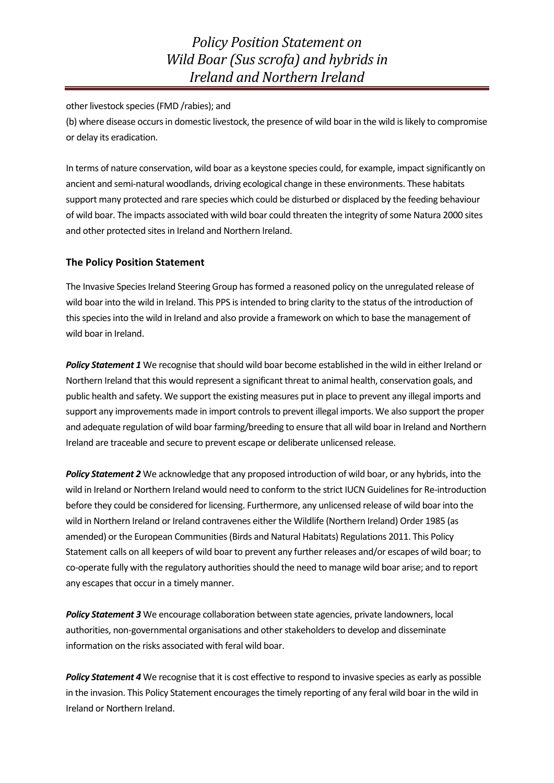other livestock species(FMD /rabies); and

(b) where disease occurs in domestic livestock, the presence of wild boar in the wild is likely to compromise or delay its eradication.

In terms of nature conservation, wild boar as a keystone species could, for example, impact significantly on ancient and semi‐natural woodlands, driving ecological change in these environments. These habitats support many protected and rare species which could be disturbed or displaced by the feeding behaviour of wild boar. The impacts associated with wild boar could threaten the integrity of some Natura 2000 sites and other protected sites in Ireland and Northern Ireland.

#### **The Policy Position Statement**

The Invasive Species Ireland Steering Group has formed a reasoned policy on the unregulated release of wild boar into the wild in Ireland. This PPS is intended to bring clarity to the status of the introduction of this species into the wild in Ireland and also provide a framework on which to base the management of wild boar in Ireland.

*Policy Statement 1* We recognise that should wild boar become established in the wild in either Ireland or Northern Ireland that this would represent a significant threat to animal health, conservation goals, and public health and safety. We support the existing measures put in place to prevent any illegal imports and support any improvements made in import controls to prevent illegal imports. We also support the proper and adequate regulation of wild boar farming/breeding to ensure that all wild boar in Ireland and Northern Ireland are traceable and secure to prevent escape or deliberate unlicensed release.

*Policy Statement 2* We acknowledge that any proposed introduction of wild boar, or any hybrids, into the wild in Ireland or Northern Ireland would need to conform to the strict IUCN Guidelines for Re-introduction before they could be considered for licensing. Furthermore, any unlicensed release of wild boar into the wild in Northern Ireland or Ireland contravenes either the Wildlife (Northern Ireland) Order 1985 (as amended) or the European Communities (Birds and Natural Habitats) Regulations 2011. This Policy Statement calls on all keepers of wild boar to prevent any further releases and/or escapes of wild boar; to co-operate fully with the regulatory authorities should the need to manage wild boar arise; and to report any escapes that occur in a timely manner.

*Policy Statement 3* We encourage collaboration between state agencies, private landowners, local authorities, non-governmental organisations and other stakeholders to develop and disseminate information on the risks associated with feral wild boar.

*Policy Statement 4* We recognise that it is cost effective to respond to invasive species as early as possible in the invasion. This Policy Statement encourages the timely reporting of any feral wild boar in the wild in Ireland or Northern Ireland.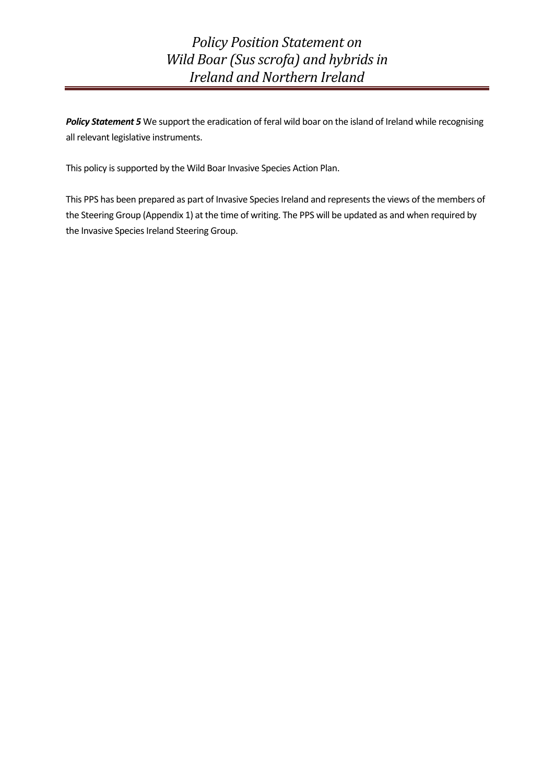*Policy Position Statement on Wild Boar (Sus scrofa) and hybrids in Ireland and Northern Ireland*

*Policy Statement 5* We support the eradication of feral wild boar on the island of Ireland while recognising all relevant legislative instruments.

This policy is supported by the Wild Boar Invasive Species Action Plan.

This PPS has been prepared as part of Invasive Species Ireland and represents the views of the members of the Steering Group (Appendix 1) at the time of writing. The PPS will be updated as and when required by the Invasive Species Ireland Steering Group.